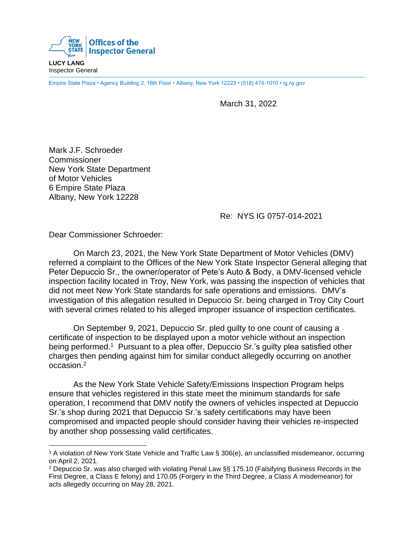

**LUCY LANG** Inspector General

Empire State Plaza • Agency Building 2, 16th Floor • Albany, New York 12223 • (518) 474-1010 • ig.ny.gov

March 31, 2022

Mark J.F. Schroeder **Commissioner** New York State Department of Motor Vehicles 6 Empire State Plaza Albany, New York 12228

## Re: NYS IG 0757-014-2021

Dear Commissioner Schroeder:

On March 23, 2021, the New York State Department of Motor Vehicles (DMV) referred a complaint to the Offices of the New York State Inspector General alleging that Peter Depuccio Sr., the owner/operator of Pete's Auto & Body, a DMV-licensed vehicle inspection facility located in Troy, New York, was passing the inspection of vehicles that did not meet New York State standards for safe operations and emissions. DMV's investigation of this allegation resulted in Depuccio Sr. being charged in Troy City Court with several crimes related to his alleged improper issuance of inspection certificates.

On September 9, 2021, Depuccio Sr. pled guilty to one count of causing a certificate of inspection to be displayed upon a motor vehicle without an inspection being performed.<sup>1</sup> Pursuant to a plea offer, Depuccio Sr.'s guilty plea satisfied other charges then pending against him for similar conduct allegedly occurring on another occasion. 2

As the New York State Vehicle Safety/Emissions Inspection Program helps ensure that vehicles registered in this state meet the minimum standards for safe operation, I recommend that DMV notify the owners of vehicles inspected at Depuccio Sr.'s shop during 2021 that Depuccio Sr.'s safety certifications may have been compromised and impacted people should consider having their vehicles re-inspected by another shop possessing valid certificates.

<sup>1</sup> A violation of New York State Vehicle and Traffic Law § 306(e), an unclassified misdemeanor, occurring on April 2, 2021.

<sup>2</sup> Depuccio Sr. was also charged with violating Penal Law §§ 175.10 (Falsifying Business Records in the First Degree, a Class E felony) and 170.05 (Forgery in the Third Degree, a Class A misdemeanor) for acts allegedly occurring on May 28, 2021.